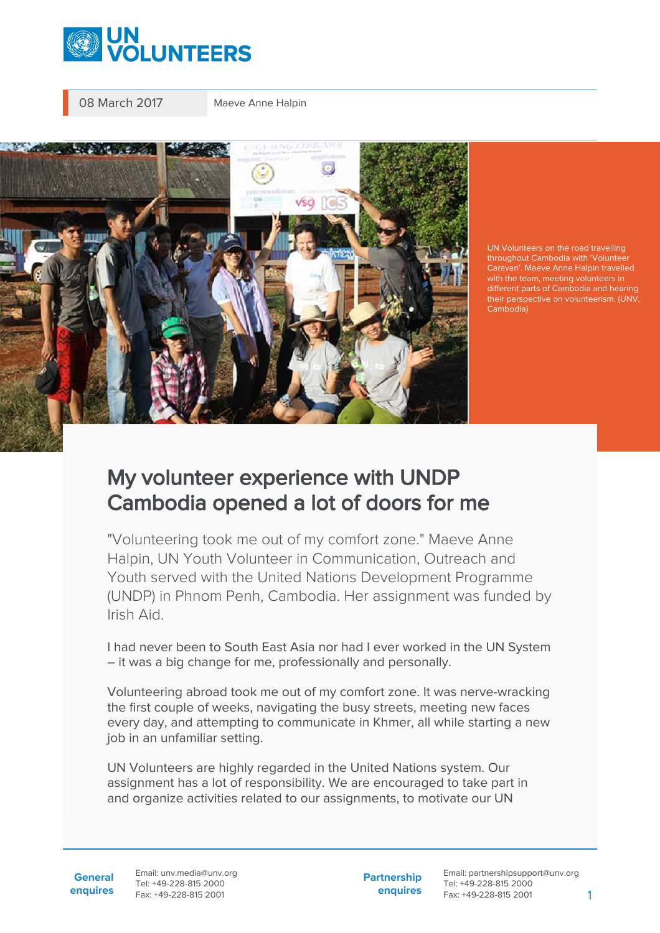

08 March 2017 Maeve Anne Halpin



UN Volunteers on the road travelling throughout Cambodia with 'Volunteer Caravan'. Maeve Anne Halpin travelled with the team, meeting volunteers in different parts of Cambodia and hearing their perspective on volunteerism. (UNV, Cambodia)

## My volunteer experience with UNDP Cambodia opened a lot of doors for me

"Volunteering took me out of my comfort zone." Maeve Anne Halpin, UN Youth Volunteer in Communication, Outreach and Youth served with the United Nations Development Programme (UNDP) in Phnom Penh, Cambodia. Her assignment was funded by Irish Aid.

I had never been to South East Asia nor had I ever worked in the UN System – it was a big change for me, professionally and personally.

Volunteering abroad took me out of my comfort zone. It was nerve-wracking the first couple of weeks, navigating the busy streets, meeting new faces every day, and attempting to communicate in Khmer, all while starting a new job in an unfamiliar setting.

UN Volunteers are highly regarded in the United Nations system. Our assignment has a lot of responsibility. We are encouraged to take part in and organize activities related to our assignments, to motivate our UN

**General enquires** Email: unv.media@unv.org Tel: +49-228-815 2000 Fax: +49-228-815 2001

**Partnership enquires** Email: partnershipsupport@unv.org Tel: +49-228-815 2000 Fax: +49-228-815 2001 1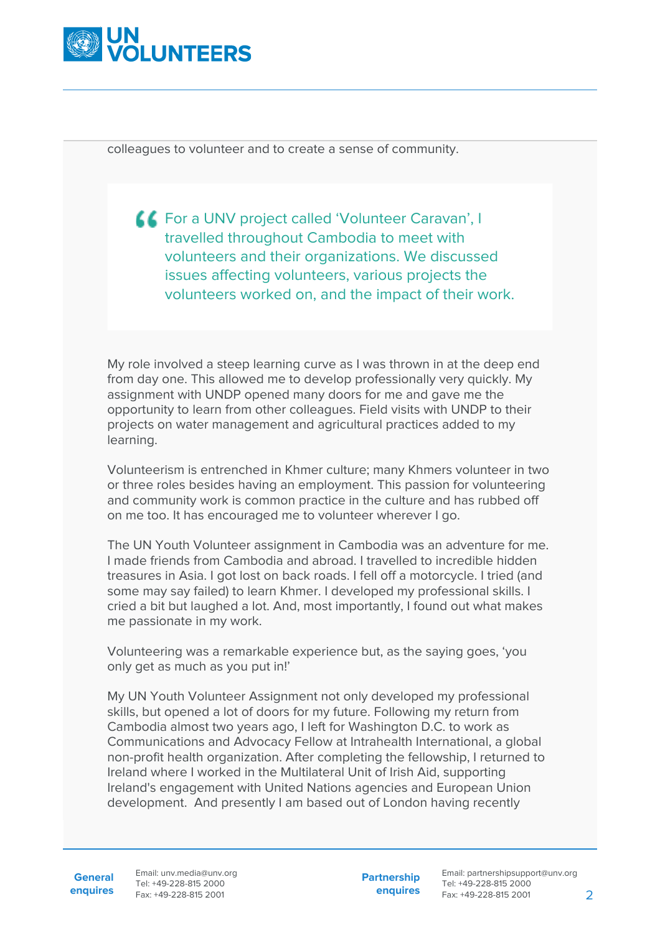

colleagues to volunteer and to create a sense of community.

**CE** For a UNV project called 'Volunteer Caravan', I travelled throughout Cambodia to meet with volunteers and their organizations. We discussed issues affecting volunteers, various projects the volunteers worked on, and the impact of their work.

My role involved a steep learning curve as I was thrown in at the deep end from day one. This allowed me to develop professionally very quickly. My assignment with UNDP opened many doors for me and gave me the opportunity to learn from other colleagues. Field visits with UNDP to their projects on water management and agricultural practices added to my learning.

Volunteerism is entrenched in Khmer culture; many Khmers volunteer in two or three roles besides having an employment. This passion for volunteering and community work is common practice in the culture and has rubbed off on me too. It has encouraged me to volunteer wherever I go.

The UN Youth Volunteer assignment in Cambodia was an adventure for me. I made friends from Cambodia and abroad. I travelled to incredible hidden treasures in Asia. I got lost on back roads. I fell off a motorcycle. I tried (and some may say failed) to learn Khmer. I developed my professional skills. I cried a bit but laughed a lot. And, most importantly, I found out what makes me passionate in my work.

Volunteering was a remarkable experience but, as the saying goes, 'you only get as much as you put in!'

My UN Youth Volunteer Assignment not only developed my professional skills, but opened a lot of doors for my future. Following my return from Cambodia almost two years ago, I left for Washington D.C. to work as Communications and Advocacy Fellow at Intrahealth International, a global non-profit health organization. After completing the fellowship, I returned to Ireland where I worked in the Multilateral Unit of Irish Aid, supporting Ireland's engagement with United Nations agencies and European Union development. And presently I am based out of London having recently

**General**

**enquires** Tel: +49-228-815 2000 Fax: +49-228-815 2001 Email: unv.media@unv.org<br>Tel: +49-228-815 2000

**Partnership enquires**

Email: partnershipsupport@unv.org Tel: +49-228-815 2000 Fax: +49-228-815 2001 2